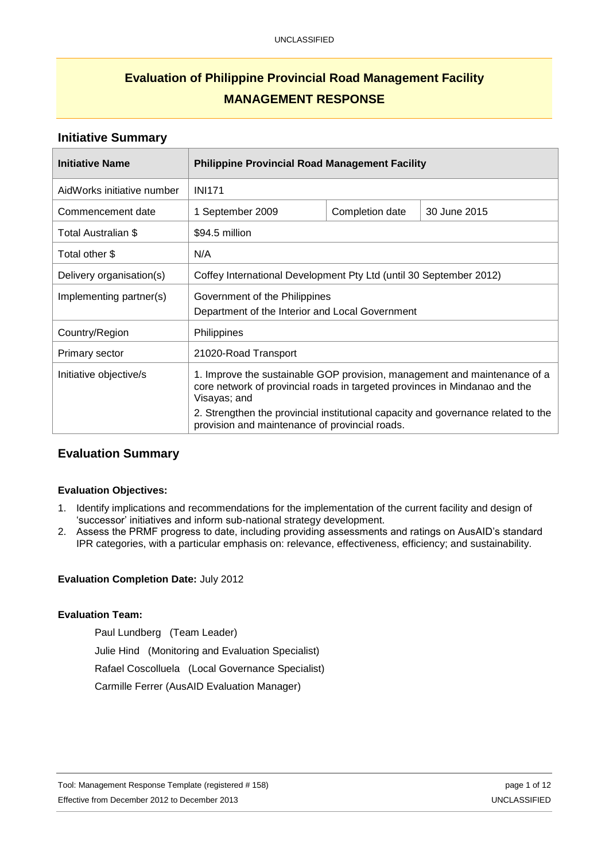# **Evaluation of Philippine Provincial Road Management Facility MANAGEMENT RESPONSE**

### **Initiative Summary**

| <b>Initiative Name</b>     | <b>Philippine Provincial Road Management Facility</b>                                                                                                                                                                                                        |                 |              |
|----------------------------|--------------------------------------------------------------------------------------------------------------------------------------------------------------------------------------------------------------------------------------------------------------|-----------------|--------------|
| AidWorks initiative number | <b>INI171</b>                                                                                                                                                                                                                                                |                 |              |
| Commencement date          | 1 September 2009                                                                                                                                                                                                                                             | Completion date | 30 June 2015 |
| Total Australian \$        | \$94.5 million                                                                                                                                                                                                                                               |                 |              |
| Total other \$             | N/A                                                                                                                                                                                                                                                          |                 |              |
| Delivery organisation(s)   | Coffey International Development Pty Ltd (until 30 September 2012)                                                                                                                                                                                           |                 |              |
| Implementing partner(s)    | Government of the Philippines<br>Department of the Interior and Local Government                                                                                                                                                                             |                 |              |
| Country/Region             | Philippines                                                                                                                                                                                                                                                  |                 |              |
| Primary sector             | 21020-Road Transport                                                                                                                                                                                                                                         |                 |              |
| Initiative objective/s     | 1. Improve the sustainable GOP provision, management and maintenance of a<br>core network of provincial roads in targeted provinces in Mindanao and the<br>Visayas; and<br>2. Strengthen the provincial institutional capacity and governance related to the |                 |              |
|                            | provision and maintenance of provincial roads.                                                                                                                                                                                                               |                 |              |

## **Evaluation Summary**

#### **Evaluation Objectives:**

- 1. Identify implications and recommendations for the implementation of the current facility and design of 'successor' initiatives and inform sub-national strategy development.
- 2. Assess the PRMF progress to date, including providing assessments and ratings on AusAID's standard IPR categories, with a particular emphasis on: relevance, effectiveness, efficiency; and sustainability.

#### **Evaluation Completion Date:** July 2012

#### **Evaluation Team:**

Paul Lundberg (Team Leader) Julie Hind (Monitoring and Evaluation Specialist) Rafael Coscolluela (Local Governance Specialist) Carmille Ferrer (AusAID Evaluation Manager)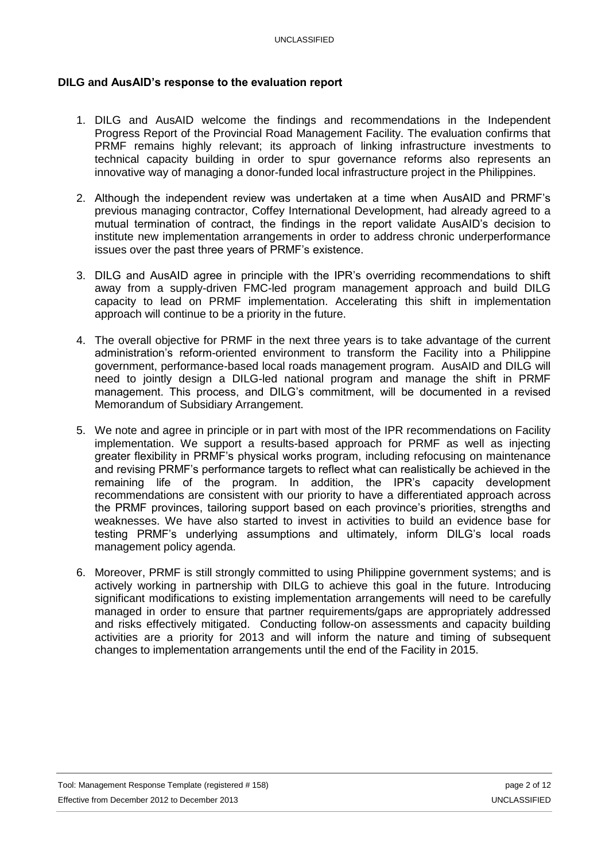## **DILG and AusAID's response to the evaluation report**

- 1. DILG and AusAID welcome the findings and recommendations in the Independent Progress Report of the Provincial Road Management Facility. The evaluation confirms that PRMF remains highly relevant; its approach of linking infrastructure investments to technical capacity building in order to spur governance reforms also represents an innovative way of managing a donor-funded local infrastructure project in the Philippines.
- 2. Although the independent review was undertaken at a time when AusAID and PRMF's previous managing contractor, Coffey International Development, had already agreed to a mutual termination of contract, the findings in the report validate AusAID's decision to institute new implementation arrangements in order to address chronic underperformance issues over the past three years of PRMF's existence.
- 3. DILG and AusAID agree in principle with the IPR's overriding recommendations to shift away from a supply-driven FMC-led program management approach and build DILG capacity to lead on PRMF implementation. Accelerating this shift in implementation approach will continue to be a priority in the future.
- 4. The overall objective for PRMF in the next three years is to take advantage of the current administration's reform-oriented environment to transform the Facility into a Philippine government, performance-based local roads management program. AusAID and DILG will need to jointly design a DILG-led national program and manage the shift in PRMF management. This process, and DILG's commitment, will be documented in a revised Memorandum of Subsidiary Arrangement.
- 5. We note and agree in principle or in part with most of the IPR recommendations on Facility implementation. We support a results-based approach for PRMF as well as injecting greater flexibility in PRMF's physical works program, including refocusing on maintenance and revising PRMF's performance targets to reflect what can realistically be achieved in the remaining life of the program. In addition, the IPR's capacity development recommendations are consistent with our priority to have a differentiated approach across the PRMF provinces, tailoring support based on each province's priorities, strengths and weaknesses. We have also started to invest in activities to build an evidence base for testing PRMF's underlying assumptions and ultimately, inform DILG's local roads management policy agenda.
- 6. Moreover, PRMF is still strongly committed to using Philippine government systems; and is actively working in partnership with DILG to achieve this goal in the future. Introducing significant modifications to existing implementation arrangements will need to be carefully managed in order to ensure that partner requirements/gaps are appropriately addressed and risks effectively mitigated. Conducting follow-on assessments and capacity building activities are a priority for 2013 and will inform the nature and timing of subsequent changes to implementation arrangements until the end of the Facility in 2015.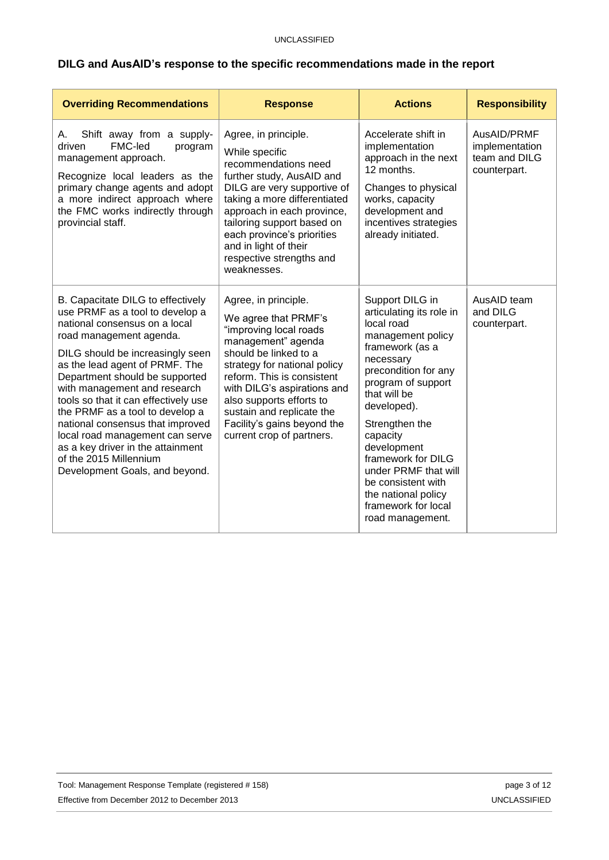# **DILG and AusAID's response to the specific recommendations made in the report**

| <b>Overriding Recommendations</b>                                                                                                                                                                                                                                                                                                                                                                                                                                                                                           | <b>Response</b>                                                                                                                                                                                                                                                                                                                         | <b>Actions</b>                                                                                                                                                                                                                                                                                                                                                                 | <b>Responsibility</b>                                          |
|-----------------------------------------------------------------------------------------------------------------------------------------------------------------------------------------------------------------------------------------------------------------------------------------------------------------------------------------------------------------------------------------------------------------------------------------------------------------------------------------------------------------------------|-----------------------------------------------------------------------------------------------------------------------------------------------------------------------------------------------------------------------------------------------------------------------------------------------------------------------------------------|--------------------------------------------------------------------------------------------------------------------------------------------------------------------------------------------------------------------------------------------------------------------------------------------------------------------------------------------------------------------------------|----------------------------------------------------------------|
| Shift away from a supply-<br>А.<br>FMC-led<br>driven<br>program<br>management approach.<br>Recognize local leaders as the<br>primary change agents and adopt<br>a more indirect approach where<br>the FMC works indirectly through<br>provincial staff.                                                                                                                                                                                                                                                                     | Agree, in principle.<br>While specific<br>recommendations need<br>further study, AusAID and<br>DILG are very supportive of<br>taking a more differentiated<br>approach in each province,<br>tailoring support based on<br>each province's priorities<br>and in light of their<br>respective strengths and<br>weaknesses.                | Accelerate shift in<br>implementation<br>approach in the next<br>12 months.<br>Changes to physical<br>works, capacity<br>development and<br>incentives strategies<br>already initiated.                                                                                                                                                                                        | AusAID/PRMF<br>implementation<br>team and DILG<br>counterpart. |
| B. Capacitate DILG to effectively<br>use PRMF as a tool to develop a<br>national consensus on a local<br>road management agenda.<br>DILG should be increasingly seen<br>as the lead agent of PRMF. The<br>Department should be supported<br>with management and research<br>tools so that it can effectively use<br>the PRMF as a tool to develop a<br>national consensus that improved<br>local road management can serve<br>as a key driver in the attainment<br>of the 2015 Millennium<br>Development Goals, and beyond. | Agree, in principle.<br>We agree that PRMF's<br>"improving local roads<br>management" agenda<br>should be linked to a<br>strategy for national policy<br>reform. This is consistent<br>with DILG's aspirations and<br>also supports efforts to<br>sustain and replicate the<br>Facility's gains beyond the<br>current crop of partners. | Support DILG in<br>articulating its role in<br>local road<br>management policy<br>framework (as a<br>necessary<br>precondition for any<br>program of support<br>that will be<br>developed).<br>Strengthen the<br>capacity<br>development<br>framework for DILG<br>under PRMF that will<br>be consistent with<br>the national policy<br>framework for local<br>road management. | AusAID team<br>and DILG<br>counterpart.                        |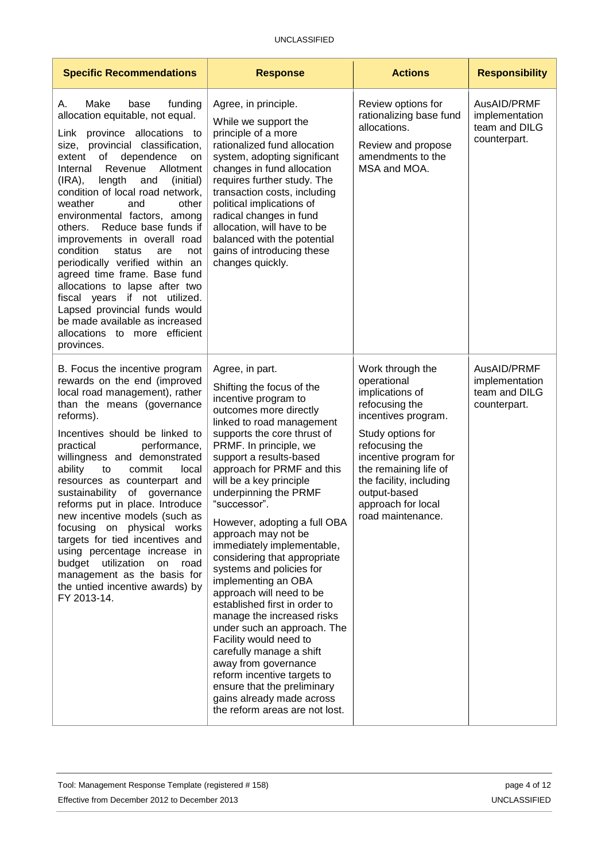| <b>Specific Recommendations</b>                                                                                                                                                                                                                                                                                                                                                                                                                                                                                                                                                                                                                                                                                         | <b>Response</b>                                                                                                                                                                                                                                                                                                                                                                                                                                                                                                                                                                                                                                                                                                                                                                                                                | <b>Actions</b>                                                                                                                                                                                                                                                             | <b>Responsibility</b>                                          |
|-------------------------------------------------------------------------------------------------------------------------------------------------------------------------------------------------------------------------------------------------------------------------------------------------------------------------------------------------------------------------------------------------------------------------------------------------------------------------------------------------------------------------------------------------------------------------------------------------------------------------------------------------------------------------------------------------------------------------|--------------------------------------------------------------------------------------------------------------------------------------------------------------------------------------------------------------------------------------------------------------------------------------------------------------------------------------------------------------------------------------------------------------------------------------------------------------------------------------------------------------------------------------------------------------------------------------------------------------------------------------------------------------------------------------------------------------------------------------------------------------------------------------------------------------------------------|----------------------------------------------------------------------------------------------------------------------------------------------------------------------------------------------------------------------------------------------------------------------------|----------------------------------------------------------------|
| Make<br>funding<br>base<br>Α.<br>allocation equitable, not equal.<br>Link province allocations to<br>size, provincial classification,<br>of<br>dependence<br>extent<br>on<br>Revenue<br>Allotment<br>Internal<br>$(IRA)$ ,<br>length<br>and<br>(initial)<br>condition of local road network,<br>weather<br>and<br>other<br>environmental factors, among<br>Reduce base funds if<br>others.<br>improvements in overall road<br>condition<br>status<br>are<br>not<br>periodically verified within an<br>agreed time frame. Base fund<br>allocations to lapse after two<br>fiscal years if not utilized.<br>Lapsed provincial funds would<br>be made available as increased<br>allocations to more efficient<br>provinces. | Agree, in principle.<br>While we support the<br>principle of a more<br>rationalized fund allocation<br>system, adopting significant<br>changes in fund allocation<br>requires further study. The<br>transaction costs, including<br>political implications of<br>radical changes in fund<br>allocation, will have to be<br>balanced with the potential<br>gains of introducing these<br>changes quickly.                                                                                                                                                                                                                                                                                                                                                                                                                       | Review options for<br>rationalizing base fund<br>allocations.<br>Review and propose<br>amendments to the<br>MSA and MOA.                                                                                                                                                   | AusAID/PRMF<br>implementation<br>team and DILG<br>counterpart. |
| B. Focus the incentive program<br>rewards on the end (improved<br>local road management), rather<br>than the means (governance<br>reforms).<br>Incentives should be linked to<br>practical<br>performance,<br>willingness and demonstrated<br>ability<br>to<br>commit<br>local<br>resources as counterpart and<br>of governance<br>sustainability<br>reforms put in place. Introduce<br>new incentive models (such as<br>focusing on physical works<br>targets for tied incentives and<br>using percentage increase in<br>budget<br>utilization<br>on<br>road<br>management as the basis for<br>the untied incentive awards) by<br>FY 2013-14.                                                                          | Agree, in part.<br>Shifting the focus of the<br>incentive program to<br>outcomes more directly<br>linked to road management<br>supports the core thrust of<br>PRMF. In principle, we<br>support a results-based<br>approach for PRMF and this<br>will be a key principle<br>underpinning the PRMF<br>"successor".<br>However, adopting a full OBA<br>approach may not be<br>immediately implementable,<br>considering that appropriate<br>systems and policies for<br>implementing an OBA<br>approach will need to be<br>established first in order to<br>manage the increased risks<br>under such an approach. The<br>Facility would need to<br>carefully manage a shift<br>away from governance<br>reform incentive targets to<br>ensure that the preliminary<br>gains already made across<br>the reform areas are not lost. | Work through the<br>operational<br>implications of<br>refocusing the<br>incentives program.<br>Study options for<br>refocusing the<br>incentive program for<br>the remaining life of<br>the facility, including<br>output-based<br>approach for local<br>road maintenance. | AusAID/PRMF<br>implementation<br>team and DILG<br>counterpart. |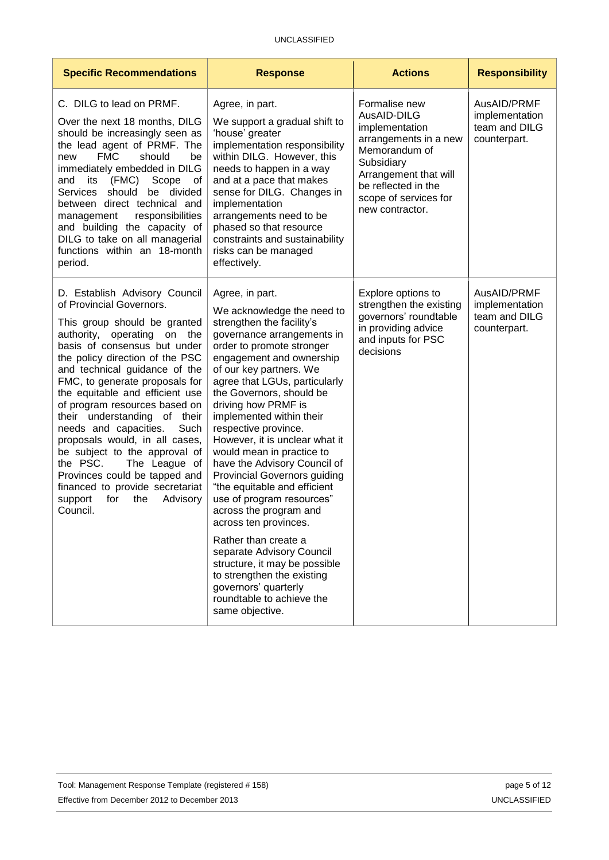| <b>Specific Recommendations</b>                                                                                                                                                                                                                                                                                                                                                                                                                                                                                                                                                                                          | <b>Response</b>                                                                                                                                                                                                                                                                                                                                                                                                                                                                                                                                                                                                                                                                                                                                                                        | <b>Actions</b>                                                                                                                                                                                     | <b>Responsibility</b>                                          |
|--------------------------------------------------------------------------------------------------------------------------------------------------------------------------------------------------------------------------------------------------------------------------------------------------------------------------------------------------------------------------------------------------------------------------------------------------------------------------------------------------------------------------------------------------------------------------------------------------------------------------|----------------------------------------------------------------------------------------------------------------------------------------------------------------------------------------------------------------------------------------------------------------------------------------------------------------------------------------------------------------------------------------------------------------------------------------------------------------------------------------------------------------------------------------------------------------------------------------------------------------------------------------------------------------------------------------------------------------------------------------------------------------------------------------|----------------------------------------------------------------------------------------------------------------------------------------------------------------------------------------------------|----------------------------------------------------------------|
| C. DILG to lead on PRMF.<br>Over the next 18 months, DILG<br>should be increasingly seen as<br>the lead agent of PRMF. The<br><b>FMC</b><br>should<br>be<br>new<br>immediately embedded in DILG<br>its<br>(FMC) Scope<br>and<br>of<br>should<br>Services<br>be divided<br>between direct technical and<br>responsibilities<br>management<br>and building the capacity of<br>DILG to take on all managerial<br>functions within an 18-month<br>period.                                                                                                                                                                    | Agree, in part.<br>We support a gradual shift to<br>'house' greater<br>implementation responsibility<br>within DILG. However, this<br>needs to happen in a way<br>and at a pace that makes<br>sense for DILG. Changes in<br>implementation<br>arrangements need to be<br>phased so that resource<br>constraints and sustainability<br>risks can be managed<br>effectively.                                                                                                                                                                                                                                                                                                                                                                                                             | Formalise new<br>AusAID-DILG<br>implementation<br>arrangements in a new<br>Memorandum of<br>Subsidiary<br>Arrangement that will<br>be reflected in the<br>scope of services for<br>new contractor. | AusAID/PRMF<br>implementation<br>team and DILG<br>counterpart. |
| D. Establish Advisory Council<br>of Provincial Governors.<br>This group should be granted<br>authority, operating on the<br>basis of consensus but under<br>the policy direction of the PSC<br>and technical guidance of the<br>FMC, to generate proposals for<br>the equitable and efficient use<br>of program resources based on<br>their understanding of their<br>needs and capacities.<br>Such<br>proposals would, in all cases,<br>be subject to the approval of<br>the PSC.<br>The League of<br>Provinces could be tapped and<br>financed to provide secretariat<br>support<br>for<br>the<br>Advisory<br>Council. | Agree, in part.<br>We acknowledge the need to<br>strengthen the facility's<br>governance arrangements in<br>order to promote stronger<br>engagement and ownership<br>of our key partners. We<br>agree that LGUs, particularly<br>the Governors, should be<br>driving how PRMF is<br>implemented within their<br>respective province.<br>However, it is unclear what it<br>would mean in practice to<br>have the Advisory Council of<br><b>Provincial Governors guiding</b><br>"the equitable and efficient<br>use of program resources"<br>across the program and<br>across ten provinces.<br>Rather than create a<br>separate Advisory Council<br>structure, it may be possible<br>to strengthen the existing<br>governors' quarterly<br>roundtable to achieve the<br>same objective. | Explore options to<br>strengthen the existing<br>governors' roundtable<br>in providing advice<br>and inputs for PSC<br>decisions                                                                   | AusAID/PRMF<br>implementation<br>team and DILG<br>counterpart. |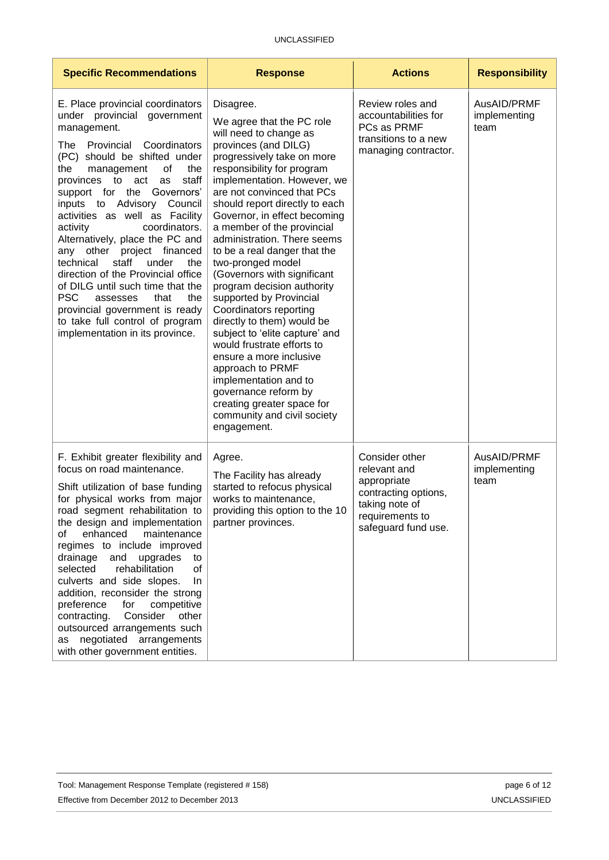| <b>Specific Recommendations</b>                                                                                                                                                                                                                                                                                                                                                                                                                                                                                                                                                                                                                                                    | <b>Response</b>                                                                                                                                                                                                                                                                                                                                                                                                                                                                                                                                                                                                                                                                                                                                                                                   | <b>Actions</b>                                                                                                                    | <b>Responsibility</b>               |
|------------------------------------------------------------------------------------------------------------------------------------------------------------------------------------------------------------------------------------------------------------------------------------------------------------------------------------------------------------------------------------------------------------------------------------------------------------------------------------------------------------------------------------------------------------------------------------------------------------------------------------------------------------------------------------|---------------------------------------------------------------------------------------------------------------------------------------------------------------------------------------------------------------------------------------------------------------------------------------------------------------------------------------------------------------------------------------------------------------------------------------------------------------------------------------------------------------------------------------------------------------------------------------------------------------------------------------------------------------------------------------------------------------------------------------------------------------------------------------------------|-----------------------------------------------------------------------------------------------------------------------------------|-------------------------------------|
| E. Place provincial coordinators<br>under provincial government<br>management.<br>The Provincial Coordinators<br>(PC) should be shifted under<br>the<br>the<br>management<br>оf<br>provinces to act<br>staff<br>as<br>support for the Governors'<br>inputs to Advisory Council<br>activities as well as Facility<br>activity<br>coordinators.<br>Alternatively, place the PC and<br>other project financed<br>any<br>technical<br>staff<br>under<br>the<br>direction of the Provincial office<br>of DILG until such time that the<br><b>PSC</b><br>that<br>the<br>assesses<br>provincial government is ready<br>to take full control of program<br>implementation in its province. | Disagree.<br>We agree that the PC role<br>will need to change as<br>provinces (and DILG)<br>progressively take on more<br>responsibility for program<br>implementation. However, we<br>are not convinced that PCs<br>should report directly to each<br>Governor, in effect becoming<br>a member of the provincial<br>administration. There seems<br>to be a real danger that the<br>two-pronged model<br>(Governors with significant<br>program decision authority<br>supported by Provincial<br>Coordinators reporting<br>directly to them) would be<br>subject to 'elite capture' and<br>would frustrate efforts to<br>ensure a more inclusive<br>approach to PRMF<br>implementation and to<br>governance reform by<br>creating greater space for<br>community and civil society<br>engagement. | Review roles and<br>accountabilities for<br>PCs as PRMF<br>transitions to a new<br>managing contractor.                           | AusAID/PRMF<br>implementing<br>team |
| F. Exhibit greater flexibility and<br>focus on road maintenance.<br>Shift utilization of base funding<br>for physical works from major<br>road segment rehabilitation to<br>the design and implementation<br>enhanced<br>0f<br>maintenance<br>regimes to include improved<br>drainage<br>and<br>upgrades<br>to<br>rehabilitation<br>selected<br>οf<br>culverts and side slopes.<br>In.<br>addition, reconsider the strong<br>preference<br>competitive<br>for<br>Consider other<br>contracting.<br>outsourced arrangements such<br>as negotiated arrangements<br>with other government entities.                                                                                   | Agree.<br>The Facility has already<br>started to refocus physical<br>works to maintenance,<br>providing this option to the 10<br>partner provinces.                                                                                                                                                                                                                                                                                                                                                                                                                                                                                                                                                                                                                                               | Consider other<br>relevant and<br>appropriate<br>contracting options,<br>taking note of<br>requirements to<br>safeguard fund use. | AusAID/PRMF<br>implementing<br>team |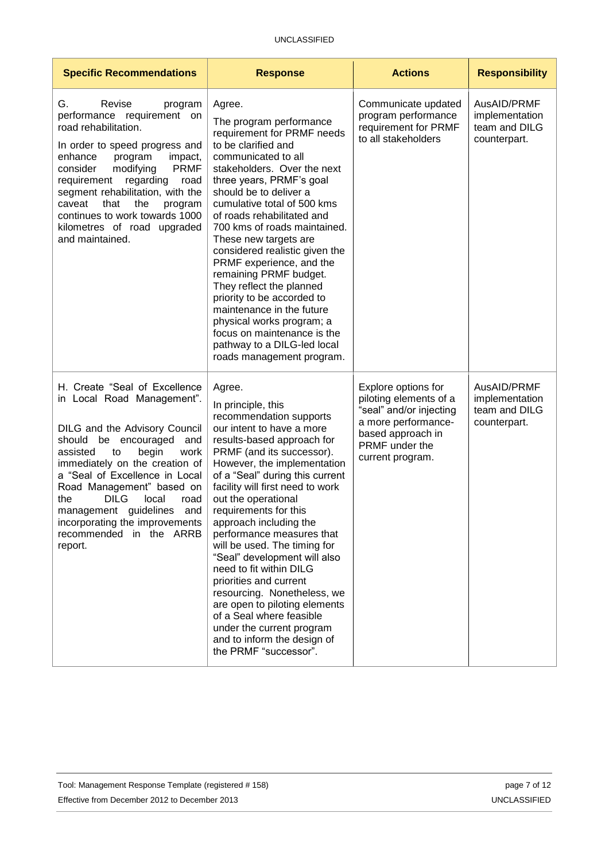| <b>Specific Recommendations</b>                                                                                                                                                                                                                                                                                                                                                                                | <b>Response</b>                                                                                                                                                                                                                                                                                                                                                                                                                                                                                                                                                                                                                                                    | <b>Actions</b>                                                                                                                                             | <b>Responsibility</b>                                          |
|----------------------------------------------------------------------------------------------------------------------------------------------------------------------------------------------------------------------------------------------------------------------------------------------------------------------------------------------------------------------------------------------------------------|--------------------------------------------------------------------------------------------------------------------------------------------------------------------------------------------------------------------------------------------------------------------------------------------------------------------------------------------------------------------------------------------------------------------------------------------------------------------------------------------------------------------------------------------------------------------------------------------------------------------------------------------------------------------|------------------------------------------------------------------------------------------------------------------------------------------------------------|----------------------------------------------------------------|
| Revise<br>G.<br>program<br>performance requirement on<br>road rehabilitation.<br>In order to speed progress and<br>enhance<br>program<br>impact,<br><b>PRMF</b><br>consider<br>modifying<br>requirement regarding<br>road<br>segment rehabilitation, with the<br>caveat<br>that<br>the<br>program<br>continues to work towards 1000<br>kilometres of road upgraded<br>and maintained.                          | Agree.<br>The program performance<br>requirement for PRMF needs<br>to be clarified and<br>communicated to all<br>stakeholders. Over the next<br>three years, PRMF's goal<br>should be to deliver a<br>cumulative total of 500 kms<br>of roads rehabilitated and<br>700 kms of roads maintained.<br>These new targets are<br>considered realistic given the<br>PRMF experience, and the<br>remaining PRMF budget.<br>They reflect the planned<br>priority to be accorded to<br>maintenance in the future<br>physical works program; a<br>focus on maintenance is the<br>pathway to a DILG-led local<br>roads management program.                                    | Communicate updated<br>program performance<br>requirement for PRMF<br>to all stakeholders                                                                  | AusAID/PRMF<br>implementation<br>team and DILG<br>counterpart. |
| H. Create "Seal of Excellence<br>in Local Road Management".<br>DILG and the Advisory Council<br>should<br>be encouraged<br>and<br>assisted<br>begin<br>work<br>to<br>immediately on the creation of<br>a "Seal of Excellence in Local<br>Road Management" based on<br><b>DILG</b><br>local<br>the<br>road<br>management guidelines and<br>incorporating the improvements<br>recommended in the ARRB<br>report. | Agree.<br>In principle, this<br>recommendation supports<br>our intent to have a more<br>results-based approach for<br>PRMF (and its successor).<br>However, the implementation<br>of a "Seal" during this current<br>facility will first need to work<br>out the operational<br>requirements for this<br>approach including the<br>performance measures that<br>will be used. The timing for<br>"Seal" development will also<br>need to fit within DILG<br>priorities and current<br>resourcing. Nonetheless, we<br>are open to piloting elements<br>of a Seal where feasible<br>under the current program<br>and to inform the design of<br>the PRMF "successor". | Explore options for<br>piloting elements of a<br>"seal" and/or injecting<br>a more performance-<br>based approach in<br>PRMF under the<br>current program. | AusAID/PRMF<br>implementation<br>team and DILG<br>counterpart. |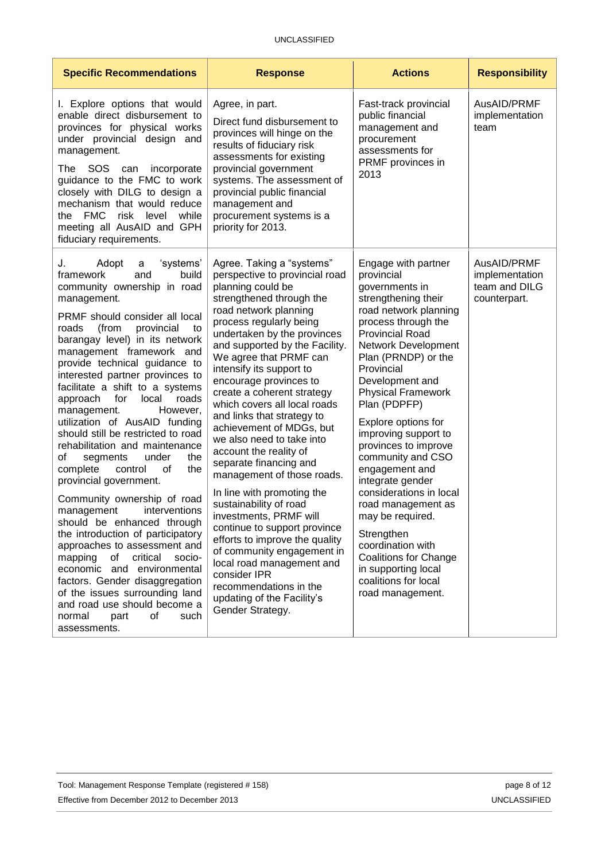| <b>Specific Recommendations</b>                                                                                                                                                                                                                                                                                                                                                                                                                                                                                                                                                                                                                                                                                                                                                                                                                                                                                                                                                                                       | <b>Response</b>                                                                                                                                                                                                                                                                                                                                                                                                                                                                                                                                                                                                                                                                                                                                                                                                                                                     | <b>Actions</b>                                                                                                                                                                                                                                                                                                                                                                                                                                                                                                                                                                                                                | <b>Responsibility</b>                                          |
|-----------------------------------------------------------------------------------------------------------------------------------------------------------------------------------------------------------------------------------------------------------------------------------------------------------------------------------------------------------------------------------------------------------------------------------------------------------------------------------------------------------------------------------------------------------------------------------------------------------------------------------------------------------------------------------------------------------------------------------------------------------------------------------------------------------------------------------------------------------------------------------------------------------------------------------------------------------------------------------------------------------------------|---------------------------------------------------------------------------------------------------------------------------------------------------------------------------------------------------------------------------------------------------------------------------------------------------------------------------------------------------------------------------------------------------------------------------------------------------------------------------------------------------------------------------------------------------------------------------------------------------------------------------------------------------------------------------------------------------------------------------------------------------------------------------------------------------------------------------------------------------------------------|-------------------------------------------------------------------------------------------------------------------------------------------------------------------------------------------------------------------------------------------------------------------------------------------------------------------------------------------------------------------------------------------------------------------------------------------------------------------------------------------------------------------------------------------------------------------------------------------------------------------------------|----------------------------------------------------------------|
| I. Explore options that would<br>enable direct disbursement to<br>provinces for physical works<br>under provincial design and<br>management.<br>SOS<br>incorporate<br>The<br>can<br>guidance to the FMC to work<br>closely with DILG to design a<br>mechanism that would reduce<br><b>FMC</b><br>risk<br>level<br>while<br>the<br>meeting all AusAID and GPH<br>fiduciary requirements.                                                                                                                                                                                                                                                                                                                                                                                                                                                                                                                                                                                                                               | Agree, in part.<br>Direct fund disbursement to<br>provinces will hinge on the<br>results of fiduciary risk<br>assessments for existing<br>provincial government<br>systems. The assessment of<br>provincial public financial<br>management and<br>procurement systems is a<br>priority for 2013.                                                                                                                                                                                                                                                                                                                                                                                                                                                                                                                                                                    | Fast-track provincial<br>public financial<br>management and<br>procurement<br>assessments for<br>PRMF provinces in<br>2013                                                                                                                                                                                                                                                                                                                                                                                                                                                                                                    | AusAID/PRMF<br>implementation<br>team                          |
| Adopt<br>'systems'<br>J.<br>a<br>build<br>framework<br>and<br>community ownership in road<br>management.<br>PRMF should consider all local<br>(from<br>provincial<br>roads<br>to<br>barangay level) in its network<br>management framework and<br>provide technical guidance to<br>interested partner provinces to<br>facilitate a shift to a systems<br>roads<br>approach<br>for<br>local<br>management.<br>However,<br>utilization of AusAID funding<br>should still be restricted to road<br>rehabilitation and maintenance<br>οf<br>under<br>the<br>segments<br>the<br>complete<br>control<br>0f<br>provincial government.<br>Community ownership of road<br>management interventions<br>should be enhanced through<br>the introduction of participatory<br>approaches to assessment and<br>mapping<br>critical<br>of<br>socio-<br>economic and environmental<br>factors. Gender disaggregation<br>of the issues surrounding land<br>and road use should become a<br>normal<br>part<br>0f<br>such<br>assessments. | Agree. Taking a "systems"<br>perspective to provincial road<br>planning could be<br>strengthened through the<br>road network planning<br>process regularly being<br>undertaken by the provinces<br>and supported by the Facility.<br>We agree that PRMF can<br>intensify its support to<br>encourage provinces to<br>create a coherent strategy<br>which covers all local roads<br>and links that strategy to<br>achievement of MDGs, but<br>we also need to take into<br>account the reality of<br>separate financing and<br>management of those roads.<br>In line with promoting the<br>sustainability of road<br>investments, PRMF will<br>continue to support province<br>efforts to improve the quality<br>of community engagement in<br>local road management and<br>consider IPR<br>recommendations in the<br>updating of the Facility's<br>Gender Strategy. | Engage with partner<br>provincial<br>governments in<br>strengthening their<br>road network planning<br>process through the<br><b>Provincial Road</b><br>Network Development<br>Plan (PRNDP) or the<br>Provincial<br>Development and<br><b>Physical Framework</b><br>Plan (PDPFP)<br>Explore options for<br>improving support to<br>provinces to improve<br>community and CSO<br>engagement and<br>integrate gender<br>considerations in local<br>road management as<br>may be required.<br>Strengthen<br>coordination with<br><b>Coalitions for Change</b><br>in supporting local<br>coalitions for local<br>road management. | AusAID/PRMF<br>implementation<br>team and DILG<br>counterpart. |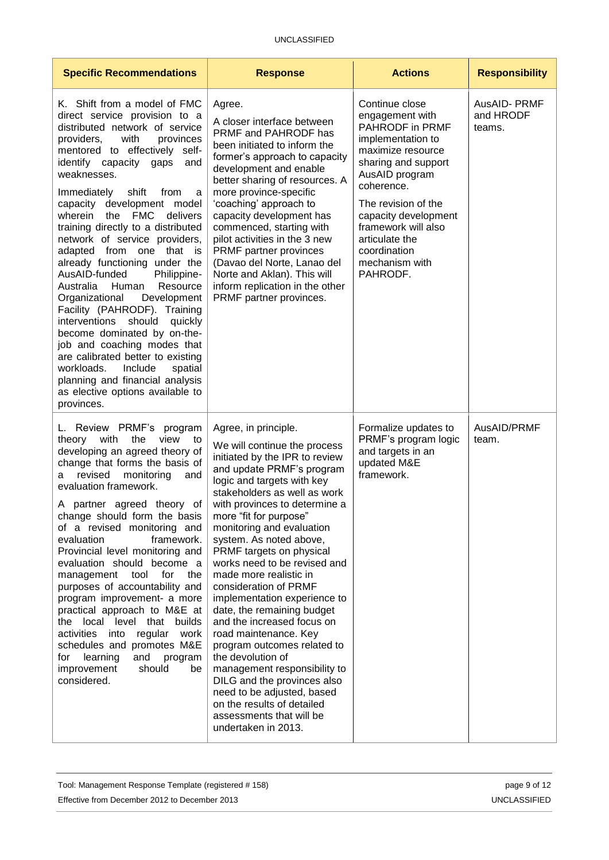| <b>Specific Recommendations</b>                                                                                                                                                                                                                                                                                                                                                                                                                                                                                                                                                                                                                                                                                                                                                                                                                                                          | <b>Response</b>                                                                                                                                                                                                                                                                                                                                                                                                                                                                                                                                                                                                                                                                                                                                                            | <b>Actions</b>                                                                                                                                                                                                                                                                              | <b>Responsibility</b>              |
|------------------------------------------------------------------------------------------------------------------------------------------------------------------------------------------------------------------------------------------------------------------------------------------------------------------------------------------------------------------------------------------------------------------------------------------------------------------------------------------------------------------------------------------------------------------------------------------------------------------------------------------------------------------------------------------------------------------------------------------------------------------------------------------------------------------------------------------------------------------------------------------|----------------------------------------------------------------------------------------------------------------------------------------------------------------------------------------------------------------------------------------------------------------------------------------------------------------------------------------------------------------------------------------------------------------------------------------------------------------------------------------------------------------------------------------------------------------------------------------------------------------------------------------------------------------------------------------------------------------------------------------------------------------------------|---------------------------------------------------------------------------------------------------------------------------------------------------------------------------------------------------------------------------------------------------------------------------------------------|------------------------------------|
| K. Shift from a model of FMC<br>direct service provision to a<br>distributed network of service<br>providers,<br>with<br>provinces<br>mentored to effectively<br>self-<br>identify capacity gaps<br>and<br>weaknesses.<br>Immediately<br>shift<br>from<br>a<br>capacity development model<br>wherein<br><b>FMC</b><br>delivers<br>the<br>training directly to a distributed<br>network of service providers,<br>adapted from one that<br><b>is</b><br>already functioning under the<br>AusAID-funded<br>Philippine-<br>Australia<br>Human<br>Resource<br>Development<br>Organizational<br>Facility (PAHRODF). Training<br>should<br>interventions<br>quickly<br>become dominated by on-the-<br>job and coaching modes that<br>are calibrated better to existing<br>workloads.<br>Include<br>spatial<br>planning and financial analysis<br>as elective options available to<br>provinces. | Agree.<br>A closer interface between<br>PRMF and PAHRODF has<br>been initiated to inform the<br>former's approach to capacity<br>development and enable<br>better sharing of resources. A<br>more province-specific<br>'coaching' approach to<br>capacity development has<br>commenced, starting with<br>pilot activities in the 3 new<br>PRMF partner provinces<br>(Davao del Norte, Lanao del<br>Norte and Aklan). This will<br>inform replication in the other<br>PRMF partner provinces.                                                                                                                                                                                                                                                                               | Continue close<br>engagement with<br>PAHRODF in PRMF<br>implementation to<br>maximize resource<br>sharing and support<br>AusAID program<br>coherence.<br>The revision of the<br>capacity development<br>framework will also<br>articulate the<br>coordination<br>mechanism with<br>PAHRODF. | AusAID-PRMF<br>and HRODF<br>teams. |
| L. Review PRMF's<br>program<br>with<br>theory<br>the<br>view<br>to<br>developing an agreed theory of<br>change that forms the basis of<br>revised<br>monitoring<br>and<br>а<br>evaluation framework.<br>A partner agreed theory<br>ot<br>change should form the basis<br>of a revised monitoring and<br>evaluation<br>framework.<br>Provincial level monitoring and<br>evaluation should become a<br>tool<br>for<br>the<br>management<br>purposes of accountability and<br>program improvement- a more<br>practical approach to M&E at<br>the local level that builds<br>activities into<br>regular<br>work<br>schedules and promotes M&E<br>learning<br>and<br>program<br>for<br>improvement<br>should<br>be<br>considered.                                                                                                                                                             | Agree, in principle.<br>We will continue the process<br>initiated by the IPR to review<br>and update PRMF's program<br>logic and targets with key<br>stakeholders as well as work<br>with provinces to determine a<br>more "fit for purpose"<br>monitoring and evaluation<br>system. As noted above,<br>PRMF targets on physical<br>works need to be revised and<br>made more realistic in<br>consideration of PRMF<br>implementation experience to<br>date, the remaining budget<br>and the increased focus on<br>road maintenance. Key<br>program outcomes related to<br>the devolution of<br>management responsibility to<br>DILG and the provinces also<br>need to be adjusted, based<br>on the results of detailed<br>assessments that will be<br>undertaken in 2013. | Formalize updates to<br>PRMF's program logic<br>and targets in an<br>updated M&E<br>framework.                                                                                                                                                                                              | AusAID/PRMF<br>team.               |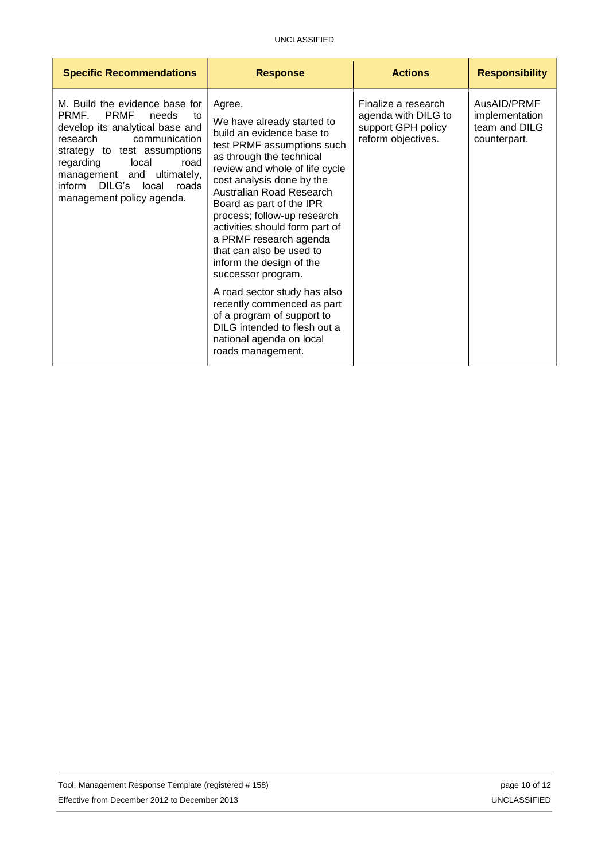| <b>Specific Recommendations</b>                                                                                                                                                                                                                                                                   | <b>Response</b>                                                                                                                                                                                                                                                                                                                                                                                                                                                                                                                                                                                          | <b>Actions</b>                                                                         | <b>Responsibility</b>                                          |
|---------------------------------------------------------------------------------------------------------------------------------------------------------------------------------------------------------------------------------------------------------------------------------------------------|----------------------------------------------------------------------------------------------------------------------------------------------------------------------------------------------------------------------------------------------------------------------------------------------------------------------------------------------------------------------------------------------------------------------------------------------------------------------------------------------------------------------------------------------------------------------------------------------------------|----------------------------------------------------------------------------------------|----------------------------------------------------------------|
| M. Build the evidence base for<br><b>PRMF</b><br>PRMF.<br>needs<br>to<br>develop its analytical base and<br>research<br>communication<br>strategy to test assumptions<br>regarding<br>local<br>road<br>management and ultimately,<br>DILG's local<br>inform<br>roads<br>management policy agenda. | Agree.<br>We have already started to<br>build an evidence base to<br>test PRMF assumptions such<br>as through the technical<br>review and whole of life cycle<br>cost analysis done by the<br>Australian Road Research<br>Board as part of the IPR<br>process; follow-up research<br>activities should form part of<br>a PRMF research agenda<br>that can also be used to<br>inform the design of the<br>successor program.<br>A road sector study has also<br>recently commenced as part<br>of a program of support to<br>DILG intended to flesh out a<br>national agenda on local<br>roads management. | Finalize a research<br>agenda with DILG to<br>support GPH policy<br>reform objectives. | AusAID/PRMF<br>implementation<br>team and DILG<br>counterpart. |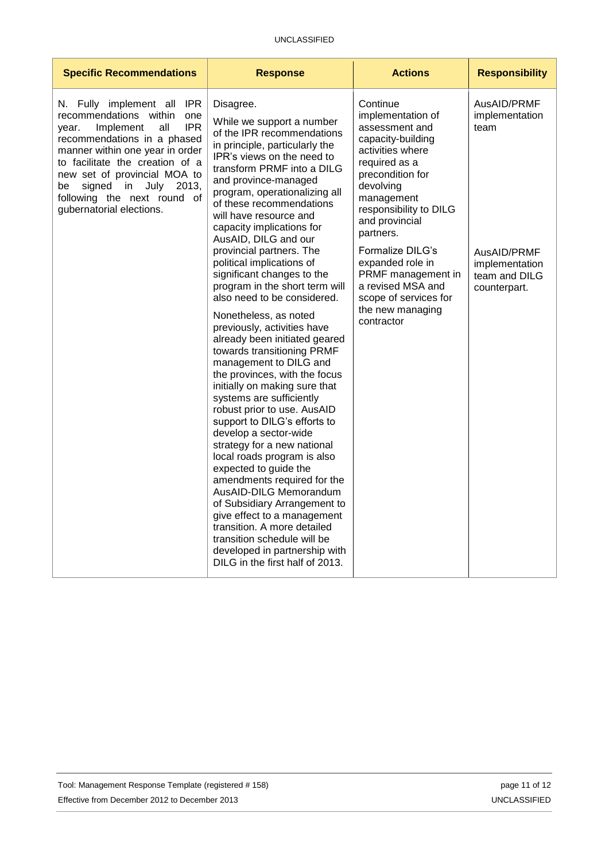| <b>Specific Recommendations</b>                                                                                                                                                                                                                                                                                                         | <b>Response</b>                                                                                                                                                                                                                                                                                                                                                                                                                                                                                                                                                                                                                                                                                                                                                                                                                              | <b>Actions</b>                                                                                                                                                                                                    | <b>Responsibility</b>                                          |
|-----------------------------------------------------------------------------------------------------------------------------------------------------------------------------------------------------------------------------------------------------------------------------------------------------------------------------------------|----------------------------------------------------------------------------------------------------------------------------------------------------------------------------------------------------------------------------------------------------------------------------------------------------------------------------------------------------------------------------------------------------------------------------------------------------------------------------------------------------------------------------------------------------------------------------------------------------------------------------------------------------------------------------------------------------------------------------------------------------------------------------------------------------------------------------------------------|-------------------------------------------------------------------------------------------------------------------------------------------------------------------------------------------------------------------|----------------------------------------------------------------|
| N. Fully implement all IPR<br>recommendations within<br>one<br>IPR.<br>Implement<br>all<br>year.<br>recommendations in a phased<br>manner within one year in order<br>to facilitate the creation of a<br>new set of provincial MOA to<br>signed<br>in<br>July<br>2013,<br>be<br>following the next round of<br>gubernatorial elections. | Disagree.<br>While we support a number<br>of the IPR recommendations<br>in principle, particularly the<br>IPR's views on the need to<br>transform PRMF into a DILG<br>and province-managed<br>program, operationalizing all<br>of these recommendations<br>will have resource and<br>capacity implications for<br>AusAID, DILG and our                                                                                                                                                                                                                                                                                                                                                                                                                                                                                                       | Continue<br>implementation of<br>assessment and<br>capacity-building<br>activities where<br>required as a<br>precondition for<br>devolving<br>management<br>responsibility to DILG<br>and provincial<br>partners. | AusAID/PRMF<br>implementation<br>team                          |
|                                                                                                                                                                                                                                                                                                                                         | provincial partners. The<br>political implications of<br>significant changes to the<br>program in the short term will<br>also need to be considered.<br>Nonetheless, as noted<br>previously, activities have<br>already been initiated geared<br>towards transitioning PRMF<br>management to DILG and<br>the provinces, with the focus<br>initially on making sure that<br>systems are sufficiently<br>robust prior to use. AusAID<br>support to DILG's efforts to<br>develop a sector-wide<br>strategy for a new national<br>local roads program is also<br>expected to guide the<br>amendments required for the<br>AusAID-DILG Memorandum<br>of Subsidiary Arrangement to<br>give effect to a management<br>transition. A more detailed<br>transition schedule will be<br>developed in partnership with<br>DILG in the first half of 2013. | Formalize DILG's<br>expanded role in<br>PRMF management in<br>a revised MSA and<br>scope of services for<br>the new managing<br>contractor                                                                        | AusAID/PRMF<br>implementation<br>team and DILG<br>counterpart. |